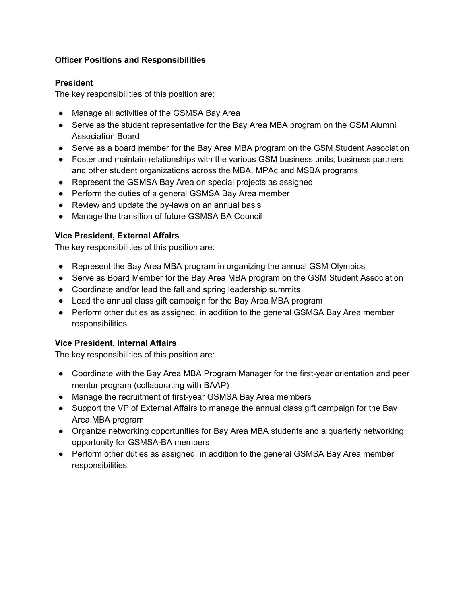## **Officer Positions and Responsibilities**

#### **President**

The key responsibilities of this position are:

- Manage all activities of the GSMSA Bay Area
- Serve as the student representative for the Bay Area MBA program on the GSM Alumni Association Board
- Serve as a board member for the Bay Area MBA program on the GSM Student Association
- Foster and maintain relationships with the various GSM business units, business partners and other student organizations across the MBA, MPAc and MSBA programs
- Represent the GSMSA Bay Area on special projects as assigned
- Perform the duties of a general GSMSA Bay Area member
- Review and update the by-laws on an annual basis
- Manage the transition of future GSMSA BA Council

### **Vice President, External Affairs**

The key responsibilities of this position are:

- Represent the Bay Area MBA program in organizing the annual GSM Olympics
- Serve as Board Member for the Bay Area MBA program on the GSM Student Association
- Coordinate and/or lead the fall and spring leadership summits
- Lead the annual class gift campaign for the Bay Area MBA program
- Perform other duties as assigned, in addition to the general GSMSA Bay Area member responsibilities

#### **Vice President, Internal Affairs**

The key responsibilities of this position are:

- Coordinate with the Bay Area MBA Program Manager for the first-year orientation and peer mentor program (collaborating with BAAP)
- Manage the recruitment of first-year GSMSA Bay Area members
- Support the VP of External Affairs to manage the annual class gift campaign for the Bay Area MBA program
- Organize networking opportunities for Bay Area MBA students and a quarterly networking opportunity for GSMSA-BA members
- Perform other duties as assigned, in addition to the general GSMSA Bay Area member responsibilities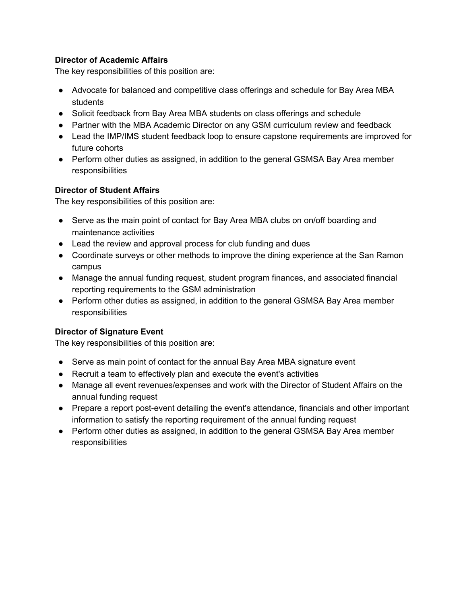## **Director of Academic Affairs**

The key responsibilities of this position are:

- Advocate for balanced and competitive class offerings and schedule for Bay Area MBA students
- Solicit feedback from Bay Area MBA students on class offerings and schedule
- Partner with the MBA Academic Director on any GSM curriculum review and feedback
- Lead the IMP/IMS student feedback loop to ensure capstone requirements are improved for future cohorts
- Perform other duties as assigned, in addition to the general GSMSA Bay Area member responsibilities

#### **Director of Student Affairs**

The key responsibilities of this position are:

- Serve as the main point of contact for Bay Area MBA clubs on on/off boarding and maintenance activities
- Lead the review and approval process for club funding and dues
- Coordinate surveys or other methods to improve the dining experience at the San Ramon campus
- Manage the annual funding request, student program finances, and associated financial reporting requirements to the GSM administration
- Perform other duties as assigned, in addition to the general GSMSA Bay Area member responsibilities

# **Director of Signature Event**

The key responsibilities of this position are:

- Serve as main point of contact for the annual Bay Area MBA signature event
- Recruit a team to effectively plan and execute the event's activities
- Manage all event revenues/expenses and work with the Director of Student Affairs on the annual funding request
- Prepare a report post-event detailing the event's attendance, financials and other important information to satisfy the reporting requirement of the annual funding request
- Perform other duties as assigned, in addition to the general GSMSA Bay Area member responsibilities